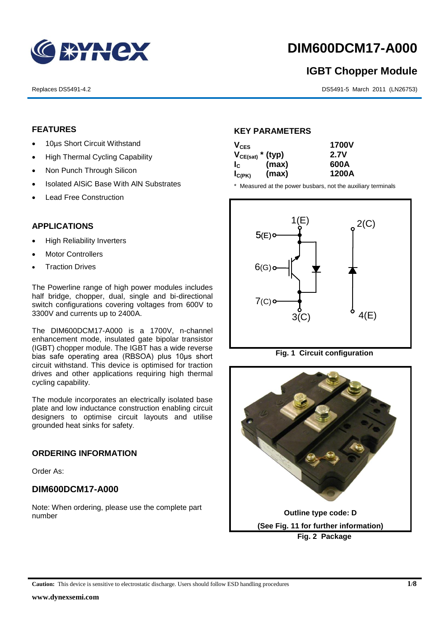

# **DIM600DCM17-A000**

# **IGBT Chopper Module**

Replaces DS5491-4.2 DS5491-5 March 2011 (LN26753)

## **FEATURES**

- 10µs Short Circuit Withstand
- High Thermal Cycling Capability
- Non Punch Through Silicon
- Isolated AISiC Base With AIN Substrates
- Lead Free Construction

# **APPLICATIONS** 11.85 ±0.2

- High Reliability Inverters
- Motor Controllers
- Traction Drives

The Powerline range of high power modules includes half bridge, chopper, dual, single and bi-directional switch configurations covering voltages from 600V to 3300V and currents up to 2400A.

The DIM600DCM17-A000 is a 1700V, n-channel enhancement mode, insulated gate bipolar transistor (IGBT) chopper module. The IGBT has a wide reverse bias safe operating area (RBSOA) plus 10μs short circuit withstand. This device is optimised for traction drives and other applications requiring high thermal cycling capability.

The module incorporates an electrically isolated base plate and low inductance construction enabling circuit designers to optimise circuit layouts and utilise grounded heat sinks for safety.

#### **ORDERING INFORMATION**

Order As:

## **DIM600DCM17-A000**

Note: When ordering, please use the complete part number

#### **KEY PARAMETERS** 6 x O7

| $V_{CES}$   |                       | <b>1700V</b> |  |
|-------------|-----------------------|--------------|--|
|             | $V_{CE(sat)}$ * (typ) | 2.7V         |  |
| $I_c$       | (max)                 | 600A         |  |
| $I_{C(PK)}$ | (max)                 | 1200A        |  |

14 ±0.2

1<br>11.<br>5 **11.** 

\* Measured at the power busbars, not the auxiliary terminals



**Fig. 1 Circuit configuration**

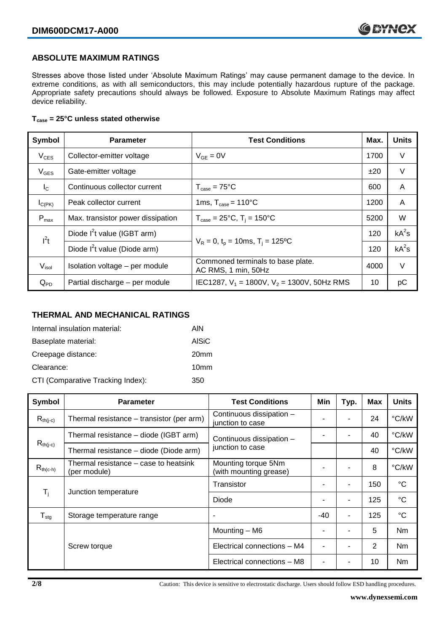#### **ABSOLUTE MAXIMUM RATINGS**

Stresses above those listed under 'Absolute Maximum Ratings' may cause permanent damage to the device. In extreme conditions, as with all semiconductors, this may include potentially hazardous rupture of the package. Appropriate safety precautions should always be followed. Exposure to Absolute Maximum Ratings may affect device reliability.

#### **Tcase = 25°C unless stated otherwise**

| Symbol           | <b>Parameter</b>                  | <b>Test Conditions</b>                                   |      | <b>Units</b> |
|------------------|-----------------------------------|----------------------------------------------------------|------|--------------|
| $V_{CES}$        | Collector-emitter voltage         | $V_{GE} = 0V$                                            |      | V            |
| $V_{GES}$        | Gate-emitter voltage              |                                                          | ±20  | $\vee$       |
| $I_{\rm C}$      | Continuous collector current      | $T_{\text{case}} = 75^{\circ}C$                          | 600  | A            |
| $I_{C(PK)}$      | Peak collector current            | 1ms, $T_{\text{case}} = 110^{\circ}$ C                   | 1200 | A            |
| $P_{\text{max}}$ | Max. transistor power dissipation | $T_{\text{case}} = 25^{\circ}C$ , $T_i = 150^{\circ}C$   |      | W            |
| $I^2t$           | Diode $I^2$ t value (IGBT arm)    |                                                          |      | $kA^2s$      |
|                  | Diode $I^2$ t value (Diode arm)   | $V_R = 0$ , $t_p = 10$ ms, $T_i = 125$ °C                | 120  | $kA^2s$      |
| $V_{\sf isol}$   | Isolation voltage - per module    | Commoned terminals to base plate.<br>AC RMS, 1 min, 50Hz |      | $\vee$       |
| $Q_{PD}$         | Partial discharge - per module    | IEC1287, $V_1$ = 1800V, $V_2$ = 1300V, 50Hz RMS          |      | рC           |

#### **THERMAL AND MECHANICAL RATINGS**

| Internal insulation material:     | AIN              |
|-----------------------------------|------------------|
| Baseplate material:               | <b>AISiC</b>     |
| Creepage distance:                | 20 <sub>mm</sub> |
| Clearance:                        | 10 <sub>mm</sub> |
| CTI (Comparative Tracking Index): | 350              |

| Symbol                    | <b>Parameter</b>                                      | <b>Test Conditions</b>                        | Min | Typ. | Max            | <b>Units</b>   |
|---------------------------|-------------------------------------------------------|-----------------------------------------------|-----|------|----------------|----------------|
| $R_{th(j-c)}$             | Thermal resistance – transistor (per arm)             | Continuous dissipation -<br>junction to case  |     | ۰    | 24             | °C/kW          |
| $R_{th(j-c)}$             | Thermal resistance – diode (IGBT arm)                 | Continuous dissipation -                      |     |      | 40             | °C/kW          |
|                           | Thermal resistance - diode (Diode arm)                | junction to case                              |     |      | 40             | °C/kW          |
| $R_{th(c-h)}$             | Thermal resistance – case to heatsink<br>(per module) | Mounting torque 5Nm<br>(with mounting grease) |     | ۰    | 8              | °C/kW          |
| $\mathsf{T}_{\mathsf{i}}$ | Junction temperature                                  | Transistor                                    |     | ۰    | 150            | $^{\circ}C$    |
|                           |                                                       | Diode                                         |     | ۰    | 125            | $^{\circ}C$    |
| $T_{\text{stg}}$          | Storage temperature range                             |                                               | -40 | ۰    | 125            | $^{\circ}C$    |
|                           | Screw torque                                          | Mounting - M6                                 |     | ۰    | 5              | <b>Nm</b>      |
|                           |                                                       | Electrical connections - M4                   |     |      | $\overline{2}$ | Nm             |
|                           |                                                       | Electrical connections - M8                   |     |      | 10             | N <sub>m</sub> |

**2/8** Caution: This device is sensitive to electrostatic discharge. Users should follow ESD handling procedures.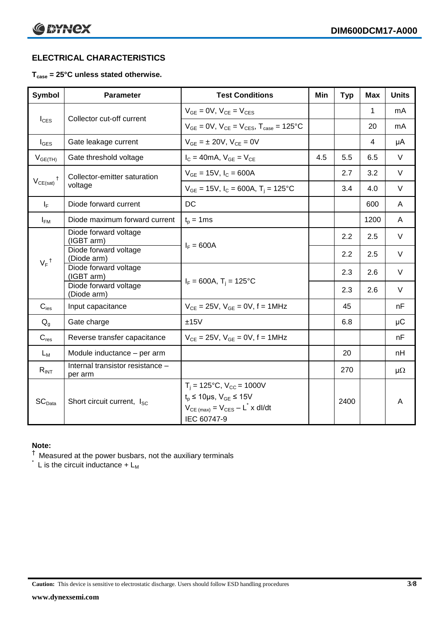# **ELECTRICAL CHARACTERISTICS**

#### **Tcase = 25°C unless stated otherwise.**

| <b>Symbol</b>      | <b>Parameter</b>                            | <b>Test Conditions</b>                                                                                                                    | Min | <b>Typ</b> | Max  | <b>Units</b> |
|--------------------|---------------------------------------------|-------------------------------------------------------------------------------------------------------------------------------------------|-----|------------|------|--------------|
|                    | Collector cut-off current                   | $V_{GE} = 0V$ , $V_{CE} = V_{CES}$                                                                                                        |     |            | 1    | mA           |
| $I_{\text{CES}}$   |                                             | $V_{GF} = 0V$ , $V_{CF} = V_{CES}$ , $T_{case} = 125^{\circ}C$                                                                            |     |            | 20   | mA           |
| $I_{\text{GES}}$   | Gate leakage current                        | $V_{GF} = \pm 20V$ , $V_{CF} = 0V$                                                                                                        |     |            | 4    | μA           |
| $V_{GE(TH)}$       | Gate threshold voltage                      | $I_C = 40mA$ , $V_{GE} = V_{CE}$                                                                                                          | 4.5 | 5.5        | 6.5  | $\vee$       |
| $^{\dagger}$       | Collector-emitter saturation                | $V_{GE}$ = 15V, $I_c$ = 600A                                                                                                              |     | 2.7        | 3.2  | V            |
| $V_{CE(sat)}$      | voltage                                     | $V_{GE}$ = 15V, $I_C$ = 600A, T <sub>i</sub> = 125°C                                                                                      |     | 3.4        | 4.0  | $\vee$       |
| $I_F$              | Diode forward current                       | DC                                                                                                                                        |     |            | 600  | A            |
| $I_{FM}$           | Diode maximum forward current               | $t_p = 1$ ms                                                                                                                              |     |            | 1200 | A            |
| $V_F$ <sup>†</sup> | Diode forward voltage<br>(IGBT arm)         | $I_F = 600A$                                                                                                                              |     | 2.2        | 2.5  | V            |
|                    | Diode forward voltage<br>(Diode arm)        |                                                                                                                                           |     | 2.2        | 2.5  | $\vee$       |
|                    | Diode forward voltage<br>(IGBT arm)         | $I_F = 600A$ , T <sub>i</sub> = 125°C                                                                                                     |     | 2.3        | 2.6  | V            |
|                    | Diode forward voltage<br>(Diode arm)        |                                                                                                                                           |     | 2.3        | 2.6  | $\vee$       |
| $C_{\text{ies}}$   | Input capacitance                           | $V_{CF} = 25V$ , $V_{GF} = 0V$ , f = 1MHz                                                                                                 |     | 45         |      | nF           |
| $Q_q$              | Gate charge                                 | ±15V                                                                                                                                      |     | 6.8        |      | μC           |
| $C_{res}$          | Reverse transfer capacitance                | $V_{CE} = 25V$ , $V_{GE} = 0V$ , f = 1MHz                                                                                                 |     |            |      | nF           |
| $L_M$              | Module inductance - per arm                 |                                                                                                                                           |     | 20         |      | nH           |
| $R_{INT}$          | Internal transistor resistance -<br>per arm |                                                                                                                                           |     | 270        |      | $\mu\Omega$  |
| SC <sub>Data</sub> | Short circuit current, I <sub>SC</sub>      | $T_i = 125$ °C, $V_{CC} = 1000V$<br>$t_p \le 10 \mu s$ , $V_{GE} \le 15V$<br>$V_{CE \ (max)} = V_{CES} - L^* \times dl/dt$<br>IEC 60747-9 |     | 2400       |      | A            |

## **Note:**

 $^\dagger$  Measured at the power busbars, not the auxiliary terminals

 $\check{}$  L is the circuit inductance +  $L_M$ 

**Caution:** This device is sensitive to electrostatic discharge. Users should follow ESD handling procedures **3/8**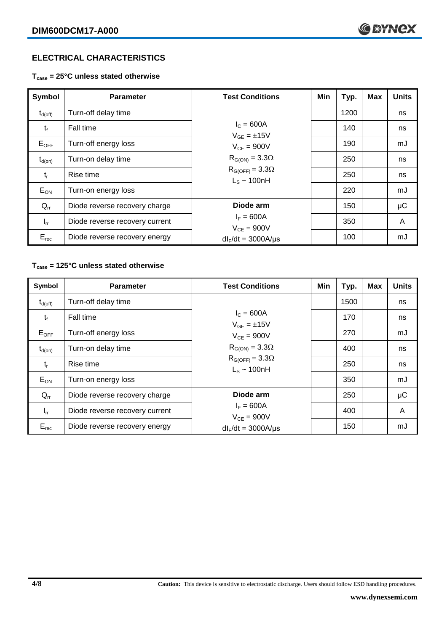# **ELECTRICAL CHARACTERISTICS**

**Tcase = 25°C unless stated otherwise**

| Symbol              | <b>Parameter</b>               | <b>Test Conditions</b>                       | Min | Typ. | <b>Max</b> | <b>Units</b> |
|---------------------|--------------------------------|----------------------------------------------|-----|------|------------|--------------|
| $t_{d(\text{off})}$ | Turn-off delay time            |                                              |     | 1200 |            | ns           |
| $t_{f}$             | Fall time                      | $I_c = 600A$<br>$V_{GF} = \pm 15V$           |     | 140  |            | ns           |
| $E_{OFF}$           | Turn-off energy loss           | $V_{CF} = 900V$                              |     | 190  |            | mJ           |
| $t_{d(on)}$         | Turn-on delay time             | $R_{G(ON)} = 3.3\Omega$                      |     | 250  |            | ns           |
| $t_{r}$             | Rise time                      | $R_{G(OFF)} = 3.3\Omega$<br>$L_s \sim 100nH$ |     | 250  |            | ns           |
| $E_{ON}$            | Turn-on energy loss            |                                              |     | 220  |            | mJ           |
| $Q_{rr}$            | Diode reverse recovery charge  | Diode arm                                    |     | 150  |            | μC           |
| $I_{rr}$            | Diode reverse recovery current | $I_F = 600A$<br>$V_{CF} = 900V$              |     | 350  |            | A            |
| $E_{rec}$           | Diode reverse recovery energy  | $dl_F/dt = 3000A/\mu s$                      |     | 100  |            | mJ           |

#### **Tcase = 125°C unless stated otherwise**

| Symbol              | <b>Parameter</b>               | <b>Test Conditions</b>                       | Min | Typ. | <b>Max</b> | <b>Units</b> |
|---------------------|--------------------------------|----------------------------------------------|-----|------|------------|--------------|
| $t_{d(\text{off})}$ | Turn-off delay time            |                                              |     | 1500 |            | ns           |
| $t_f$               | Fall time                      | $I_{C} = 600A$<br>$V_{GF} = \pm 15V$         |     | 170  |            | ns           |
| $E_{OFF}$           | Turn-off energy loss           | $V_{CF} = 900V$                              |     | 270  |            | mJ           |
| $t_{d(on)}$         | Turn-on delay time             | $R_{G(ON)} = 3.3\Omega$                      |     | 400  |            | ns           |
| $t_{r}$             | Rise time                      | $R_{G(OFF)} = 3.3\Omega$<br>$L_s \sim 100nH$ |     | 250  |            | ns           |
| $E_{ON}$            | Turn-on energy loss            |                                              |     | 350  |            | mJ           |
| $Q_{rr}$            | Diode reverse recovery charge  | Diode arm                                    |     | 250  |            | μC           |
| $I_{rr}$            | Diode reverse recovery current | $I_F = 600A$<br>$V_{CF} = 900V$              |     | 400  |            | A            |
| $E_{rec}$           | Diode reverse recovery energy  | $dl_F/dt = 3000A/\mu s$                      |     | 150  |            | mJ           |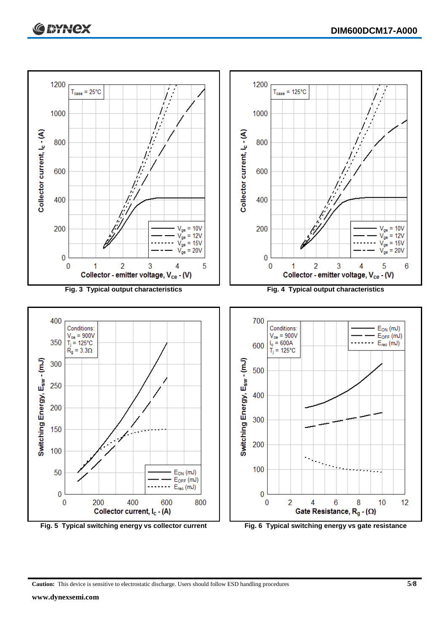

**Fig. 5 Typical switching energy vs collector current Fig. 6 Typical switching energy vs gate resistance**

**Caution:** This device is sensitive to electrostatic discharge. Users should follow ESD handling procedures **5/8**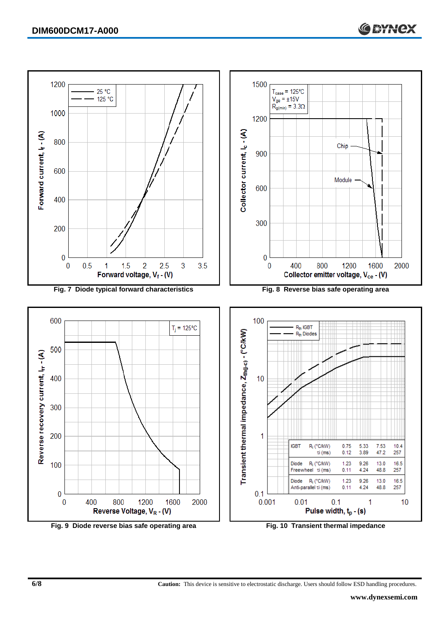

**Fig. 9 Diode reverse bias safe operating area Fig. 10 Transient thermal impedance**

**6/8 Caution:** This device is sensitive to electrostatic discharge. Users should follow ESD handling procedures.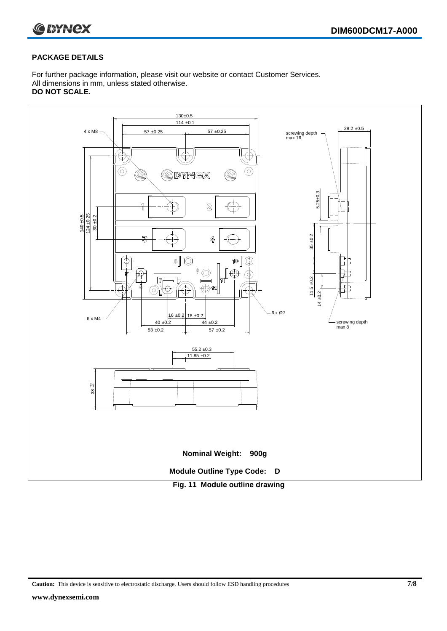

#### **PACKAGE DETAILS**

For further package information, please visit our website or contact Customer Services. All dimensions in mm, unless stated otherwise. **DO NOT SCALE.**



**Caution:** This device is sensitive to electrostatic discharge. Users should follow ESD handling procedures **7/8**